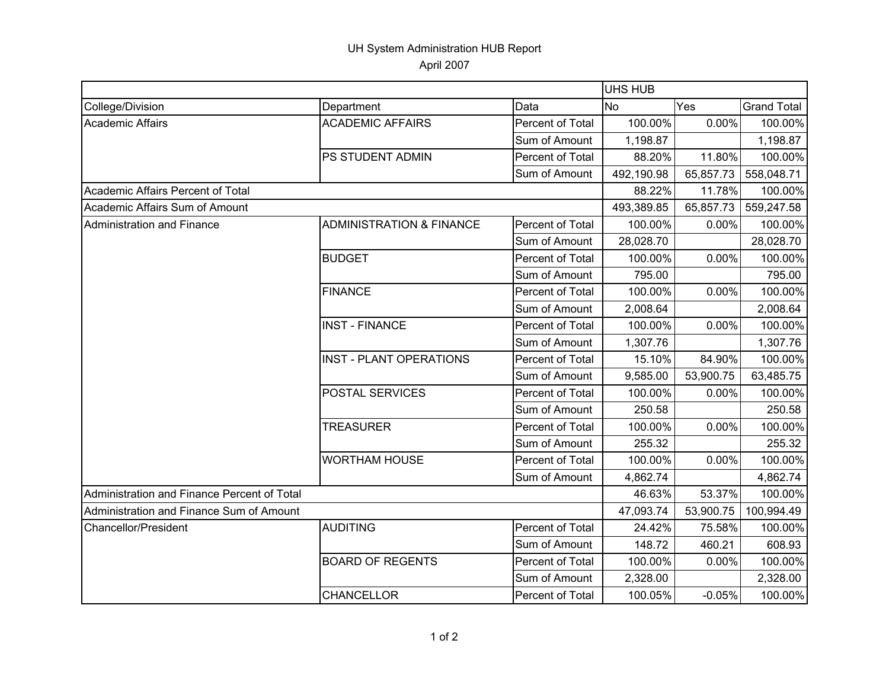## UH System Administration HUB Report April 2007

|                                             |                                     |                  | <b>UHS HUB</b>   |           |                    |  |
|---------------------------------------------|-------------------------------------|------------------|------------------|-----------|--------------------|--|
| College/Division                            | Department                          | Data             | Yes<br><b>No</b> |           | <b>Grand Total</b> |  |
| Academic Affairs                            | <b>ACADEMIC AFFAIRS</b>             | Percent of Total | 100.00%          | 0.00%     | 100.00%            |  |
|                                             |                                     | Sum of Amount    | 1,198.87         |           | 1,198.87           |  |
|                                             | PS STUDENT ADMIN                    | Percent of Total | 88.20%           | 11.80%    | 100.00%            |  |
|                                             |                                     | Sum of Amount    | 492,190.98       | 65,857.73 | 558,048.71         |  |
| Academic Affairs Percent of Total           |                                     |                  | 88.22%           | 11.78%    | 100.00%            |  |
| Academic Affairs Sum of Amount              |                                     |                  | 493,389.85       | 65,857.73 | 559,247.58         |  |
| Administration and Finance                  | <b>ADMINISTRATION &amp; FINANCE</b> | Percent of Total | 100.00%          | 0.00%     | 100.00%            |  |
|                                             |                                     | Sum of Amount    | 28,028.70        |           | 28,028.70          |  |
|                                             | <b>BUDGET</b>                       | Percent of Total | 100.00%          | 0.00%     | 100.00%            |  |
|                                             |                                     | Sum of Amount    | 795.00           |           | 795.00             |  |
|                                             | <b>FINANCE</b>                      | Percent of Total | 100.00%          | 0.00%     | 100.00%            |  |
|                                             |                                     | Sum of Amount    | 2,008.64         |           | 2,008.64           |  |
|                                             | <b>INST - FINANCE</b>               | Percent of Total | 100.00%          | 0.00%     | 100.00%            |  |
|                                             |                                     | Sum of Amount    | 1,307.76         |           | 1,307.76           |  |
|                                             | <b>INST - PLANT OPERATIONS</b>      | Percent of Total | 15.10%           | 84.90%    | 100.00%            |  |
|                                             |                                     | Sum of Amount    | 9,585.00         | 53,900.75 | 63,485.75          |  |
|                                             | <b>POSTAL SERVICES</b>              | Percent of Total | 100.00%          | 0.00%     | 100.00%            |  |
|                                             |                                     | Sum of Amount    | 250.58           |           | 250.58             |  |
|                                             | <b>TREASURER</b>                    | Percent of Total | 100.00%          | 0.00%     | 100.00%            |  |
|                                             |                                     | Sum of Amount    | 255.32           |           | 255.32             |  |
|                                             | <b>WORTHAM HOUSE</b>                | Percent of Total | 100.00%          | 0.00%     | 100.00%            |  |
|                                             |                                     | Sum of Amount    | 4,862.74         |           | 4,862.74           |  |
| Administration and Finance Percent of Total |                                     |                  | 46.63%           | 53.37%    | 100.00%            |  |
| Administration and Finance Sum of Amount    |                                     |                  | 47,093.74        | 53,900.75 | 100,994.49         |  |
| <b>Chancellor/President</b>                 | <b>AUDITING</b>                     | Percent of Total | 24.42%           | 75.58%    | 100.00%            |  |
|                                             |                                     | Sum of Amount    | 148.72           | 460.21    | 608.93             |  |
|                                             | <b>BOARD OF REGENTS</b>             | Percent of Total | 100.00%          | 0.00%     | 100.00%            |  |
|                                             |                                     | Sum of Amount    | 2,328.00         |           | 2,328.00           |  |
|                                             | <b>CHANCELLOR</b>                   | Percent of Total | 100.05%          | $-0.05%$  | 100.00%            |  |